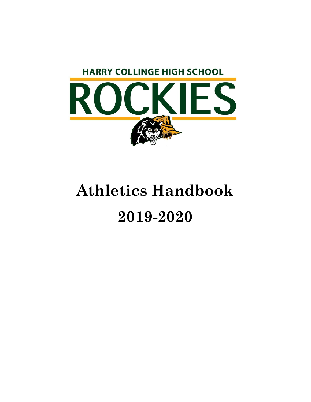

# **Athletics Handbook 2019-2020**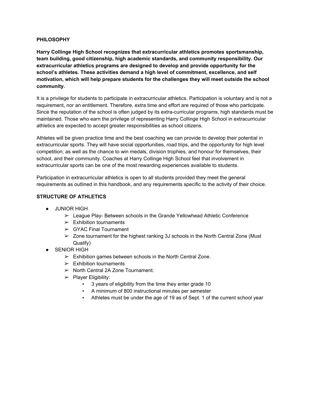#### **PHILOSOPHY**

**Harry Collinge High School recognizes that extracurricular athletics promotes sportsmanship, team building, good citizenship, high academic standards, and community responsibility. Our extracurricular athletics programs are designed to develop and provide opportunity for the school's athletes. These activities demand a high level of commitment, excellence, and self motivation, which will help prepare students for the challenges they will meet outside the school community.**

It is a privilege for students to participate in extracurricular athletics. Participation is voluntary and is not a requirement, nor an entitlement. Therefore, extra time and effort are required of those who participate. Since the reputation of the school is often judged by its extra-curricular programs, high standards must be maintained. Those who earn the privilege of representing Harry Collinge High School in extracurricular athletics are expected to accept greater responsibilities as school citizens.

Athletes will be given practice time and the best coaching we can provide to develop their potential in extracurricular sports. They will have social opportunities, road trips, and the opportunity for high level competition; as well as the chance to win medals, division trophies, and honour for themselves, their school, and their community. Coaches at Harry Collinge High School feel that involvement in extracurricular sports can be one of the most rewarding experiences available to students.

Participation in extracurricular athletics is open to all students provided they meet the general requirements as outlined in this handbook, and any requirements specific to the activity of their choice.

#### **STRUCTURE OF ATHLETICS**

- JUNIOR HIGH
	- $\triangleright$  League Play- Between schools in the Grande Yellowhead Athletic Conference
	- $\triangleright$  Exhibition tournaments
	- $\triangleright$  GYAC Final Tournament
	- $\geq$  Zone tournament for the highest ranking 3J schools in the North Central Zone (Must Qualify)
- **•** SENIOR HIGH
	- $\triangleright$  Exhibition games between schools in the North Central Zone.
	- $\triangleright$  Exhibition tournaments
	- ➢ North Central 2A Zone Tournament.
	- $\triangleright$  Player Eligibility:
		- 3 years of eligibility from the time they enter grade 10
		- A minimum of 800 instructional minutes per semester
		- Athletes must be under the age of 19 as of Sept. 1 of the current school year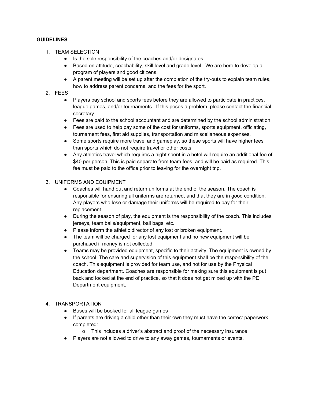#### **GUIDELINES**

- 1. TEAM SELECTION
	- Is the sole responsibility of the coaches and/or designates
	- Based on attitude, coachability, skill level and grade level. We are here to develop a program of players and good citizens.
	- A parent meeting will be set up after the completion of the try-outs to explain team rules, how to address parent concerns, and the fees for the sport.
- 2. FEES
	- Players pay school and sports fees before they are allowed to participate in practices, league games, and/or tournaments. If this poses a problem, please contact the financial secretary.
	- Fees are paid to the school accountant and are determined by the school administration.
	- Fees are used to help pay some of the cost for uniforms, sports equipment, officiating, tournament fees, first aid supplies, transportation and miscellaneous expenses.
	- Some sports require more travel and gameplay, so these sports will have higher fees than sports which do not require travel or other costs.
	- Any athletics travel which requires a night spent in a hotel will require an additional fee of \$40 per person. This is paid separate from team fees, and will be paid as required. This fee must be paid to the office prior to leaving for the overnight trip.

## 3. UNIFORMS AND EQUIPMENT

- Coaches will hand out and return uniforms at the end of the season. The coach is responsible for ensuring all uniforms are returned, and that they are in good condition. Any players who lose or damage their uniforms will be required to pay for their replacement.
- During the season of play, the equipment is the responsibility of the coach. This includes jerseys, team balls/equipment, ball bags, etc.
- Please inform the athletic director of any lost or broken equipment.
- The team will be charged for any lost equipment and no new equipment will be purchased if money is not collected.
- Teams may be provided equipment, specific to their activity. The equipment is owned by the school. The care and supervision of this equipment shall be the responsibility of the coach. This equipment is provided for team use, and not for use by the Physical Education department. Coaches are responsible for making sure this equipment is put back and locked at the end of practice, so that it does not get mixed up with the PE Department equipment.

# 4. TRANSPORTATION

- Buses will be booked for all league games
- If parents are driving a child other than their own they must have the correct paperwork completed:
	- o This includes a driver's abstract and proof of the necessary insurance
- Players are not allowed to drive to any away games, tournaments or events.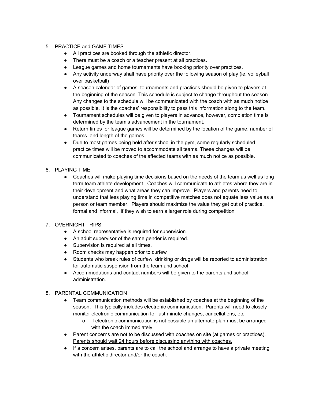# 5. PRACTICE and GAME TIMES

- All practices are booked through the athletic director.
- There must be a coach or a teacher present at all practices.
- League games and home tournaments have booking priority over practices.
- Any activity underway shall have priority over the following season of play (ie. volleyball over basketball)
- A season calendar of games, tournaments and practices should be given to players at the beginning of the season. This schedule is subject to change throughout the season. Any changes to the schedule will be communicated with the coach with as much notice as possible. It is the coaches' responsibility to pass this information along to the team.
- Tournament schedules will be given to players in advance, however, completion time is determined by the team's advancement in the tournament.
- Return times for league games will be determined by the location of the game, number of teams and length of the games.
- Due to most games being held after school in the gym, some regularly scheduled practice times will be moved to accommodate all teams. These changes will be communicated to coaches of the affected teams with as much notice as possible.

# 6. PLAYING TIME

• Coaches will make playing time decisions based on the needs of the team as well as long term team athlete development. Coaches will communicate to athletes where they are in their development and what areas they can improve. Players and parents need to understand that less playing time in competitive matches does not equate less value as a person or team member. Players should maximize the value they get out of practice, formal and informal, if they wish to earn a larger role during competition

# 7. OVERNIGHT TRIPS

- A school representative is required for supervision.
- An adult supervisor of the same gender is required.
- Supervision is required at all times.
- Room checks may happen prior to curfew
- Students who break rules of curfew, drinking or drugs will be reported to administration for automatic suspension from the team and school
- Accommodations and contact numbers will be given to the parents and school administration.

#### 8. PARENTAL COMMUNICATION

- Team communication methods will be established by coaches at the beginning of the season. This typically includes electronic communication. Parents will need to closely monitor electronic communication for last minute changes, cancellations, etc
	- o if electronic communication is not possible an alternate plan must be arranged with the coach immediately
- Parent concerns are not to be discussed with coaches on site (at games or practices). Parents should wait 24 hours before discussing anything with coaches.
- If a concern arises, parents are to call the school and arrange to have a private meeting with the athletic director and/or the coach.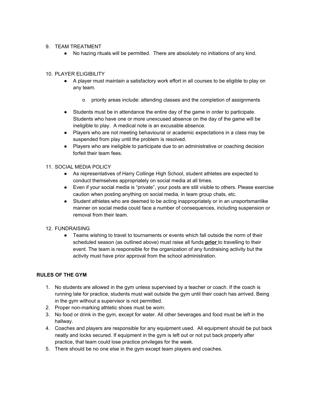#### 9. TEAM TREATMENT

● No hazing rituals will be permitted. There are absolutely no initiations of any kind.

# 10. PLAYER ELIGIBILITY

- A player must maintain a satisfactory work effort in all courses to be eligible to play on any team.
	- o priority areas include: attending classes and the completion of assignments
- Students must be in attendance the entire day of the game in order to participate. Students who have one or more unexcused absence on the day of the game will be ineligible to play. A medical note is an excusable absence.
- Players who are not meeting behavioural or academic expectations in a class may be suspended from play until the problem is resolved.
- Players who are ineligible to participate due to an administrative or coaching decision forfeit their team fees.

#### 11. SOCIAL MEDIA POLICY

- As representatives of Harry Collinge High School, student athletes are expected to conduct themselves appropriately on social media at all times.
- Even if your social media is "private", your posts are still visible to others. Please exercise caution when posting anything on social media, in team group chats, etc.
- Student athletes who are deemed to be acting inappropriately or in an unsportsmanlike manner on social media could face a number of consequences, including suspension or removal from their team.

# 12. FUNDRAISING

• Teams wishing to travel to tournaments or events which fall outside the norm of their scheduled season (as outlined above) must raise all funds **prior** to travelling to their event. The team is responsible for the organization of any fundraising activity but the activity must have prior approval from the school administration.

# **RULES OF THE GYM**

- 1. No students are allowed in the gym unless supervised by a teacher or coach. If the coach is running late for practice, students must wait outside the gym until their coach has arrived. Being in the gym without a supervisor is not permitted.
- 2. Proper non-marking athletic shoes must be worn.
- 3. No food or drink in the gym, except for water. All other beverages and food must be left in the hallway.
- 4. Coaches and players are responsible for any equipment used. All equipment should be put back neatly and locks secured. If equipment in the gym is left out or not put back properly after practice, that team could lose practice privileges for the week.
- 5. There should be no one else in the gym except team players and coaches.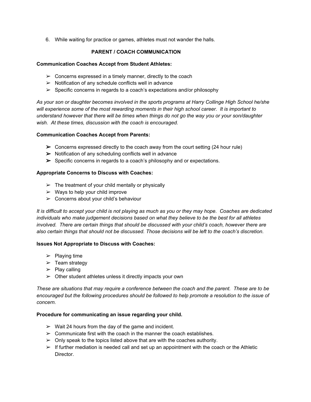6. While waiting for practice or games, athletes must not wander the halls.

#### **PARENT / COACH COMMUNICATION**

#### **Communication Coaches Accept from Student Athletes:**

- $\triangleright$  Concerns expressed in a timely manner, directly to the coach
- $\triangleright$  Notification of any schedule conflicts well in advance
- $\triangleright$  Specific concerns in regards to a coach's expectations and/or philosophy

*As your son or daughter becomes involved in the sports programs at Harry Collinge High School he/she will experience some of the most rewarding moments in their high school career. It is important to understand however that there will be times when things do not go the way you or your son/daughter wish. At these times, discussion with the coach is encouraged.*

#### **Communication Coaches Accept from Parents:**

- $\triangleright$  Concerns expressed directly to the coach away from the court setting (24 hour rule)
- $\triangleright$  Notification of any scheduling conflicts well in advance
- $\triangleright$  Specific concerns in regards to a coach's philosophy and or expectations.

#### **Appropriate Concerns to Discuss with Coaches:**

- $\triangleright$  The treatment of your child mentally or physically
- $\triangleright$  Ways to help your child improve
- $\geq$  Concerns about your child's behaviour

It is difficult to accept your child is not playing as much as you or they may hope. Coaches are dedicated *individuals who make judgement decisions based on what they believe to be the best for all athletes involved. There are certain things that should be discussed with your child's coach, however there are also certain things that should not be discussed. Those decisions will be left to the coach's discretion.*

#### **Issues Not Appropriate to Discuss with Coaches:**

- $\triangleright$  Playing time
- $\geq$  Team strategy
- $\triangleright$  Play calling
- $\triangleright$  Other student athletes unless it directly impacts your own

These are situations that may require a conference between the coach and the parent. These are to be *encouraged but the following procedures should be followed to help promote a resolution to the issue of concern.*

#### **Procedure for communicating an issue regarding your child.**

- $\triangleright$  Wait 24 hours from the day of the game and incident.
- $\geq$  Communicate first with the coach in the manner the coach establishes.
- $\triangleright$  Only speak to the topics listed above that are with the coaches authority.
- $\triangleright$  If further mediation is needed call and set up an appointment with the coach or the Athletic Director.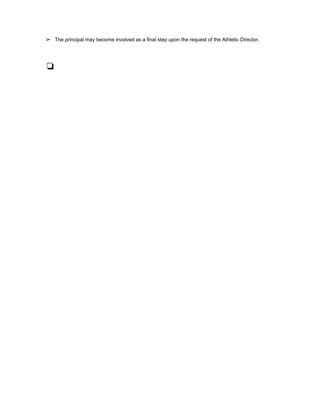➢ The principal may become involved as a final step upon the request of the Athletic Director.

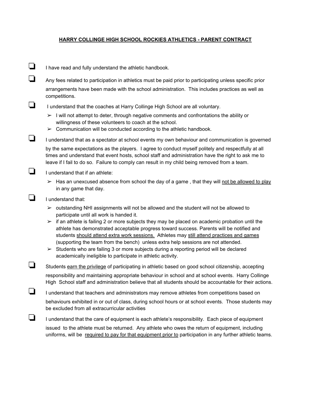#### **HARRY COLLINGE HIGH SCHOOL ROCKIES ATHLETICS - PARENT CONTRACT**

❏ <sup>I</sup> have read and fully understand the athletic handbook.

❏ Any fees related to participation in athletics must be paid prior to participating unless specific prior arrangements have been made with the school administration. This includes practices as well as competitions.

❏ <sup>I</sup> understand that the coaches at Harry Collinge High School are all voluntary.

- $\triangleright$  I will not attempt to deter, through negative comments and confrontations the ability or willingness of these volunteers to coach at the school.
- $\geq$  Communication will be conducted according to the athletic handbook.
- ❏ <sup>I</sup> understand that as <sup>a</sup> spectator at school events my own behaviour and communication is governed

by the same expectations as the players. I agree to conduct myself politely and respectfully at all times and understand that event hosts, school staff and administration have the right to ask me to leave if I fail to do so. Failure to comply can result in my child being removed from a team.

- ❏ <sup>I</sup> understand that if an athlete:
	- $\triangleright$  Has an unexcused absence from school the day of a game, that they will not be allowed to play in any game that day.

❏ <sup>I</sup> understand that:

- $\triangleright$  outstanding NHI assignments will not be allowed and the student will not be allowed to participate until all work is handed it.
- $\triangleright$  if an athlete is failing 2 or more subjects they may be placed on academic probation until the athlete has demonstrated acceptable progress toward success. Parents will be notified and students should attend extra work sessions. Athletes may still attend practices and games (supporting the team from the bench) unless extra help sessions are not attended.

 $\triangleright$  Students who are failing 3 or more subjects during a reporting period will be declared academically ineligible to participate in athletic activity.

❏ Students earn the privilege of participating in athletic based on good school citizenship, accepting responsibility and maintaining appropriate behaviour in school and at school events. Harry Collinge High School staff and administration believe that all students should be accountable for their actions.

❏ <sup>I</sup> understand that teachers and administrators may remove athletes from competitions based on behaviours exhibited in or out of class, during school hours or at school events. Those students may be excluded from all extracurricular activities

❏ <sup>I</sup> understand that the care of equipment is each athlete's responsibility. Each piece of equipment issued to the athlete must be returned. Any athlete who owes the return of equipment, including uniforms, will be required to pay for that equipment prior to participation in any further athletic teams.